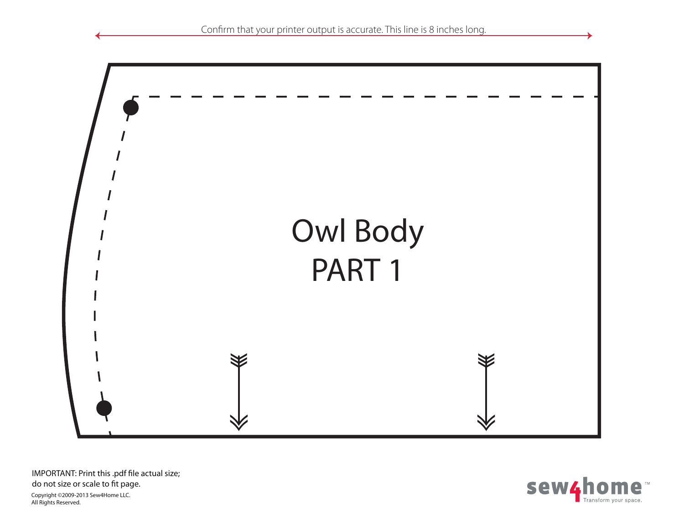

sew4home™ Transform your space.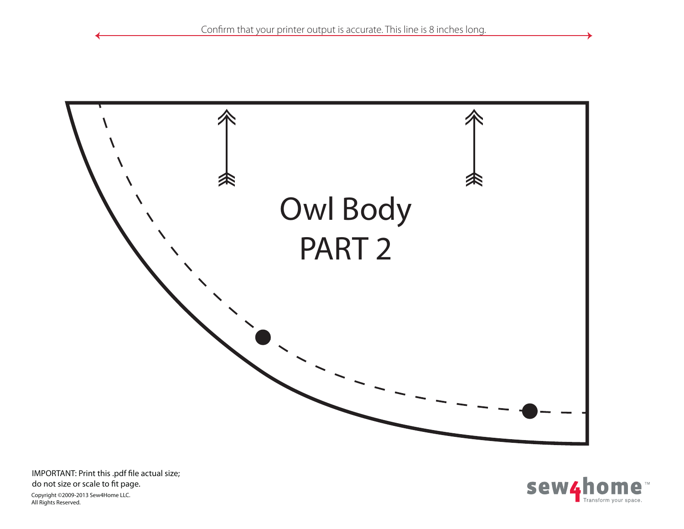

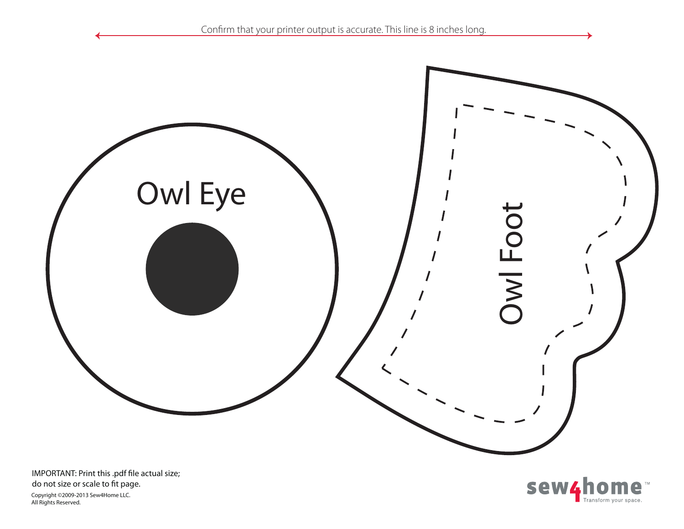



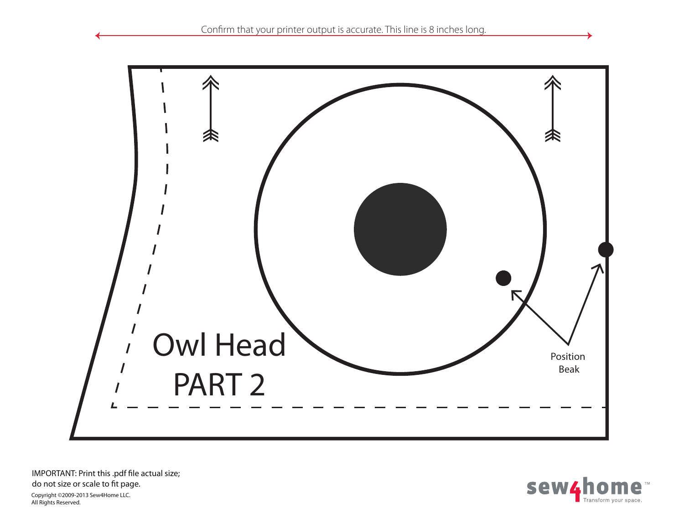

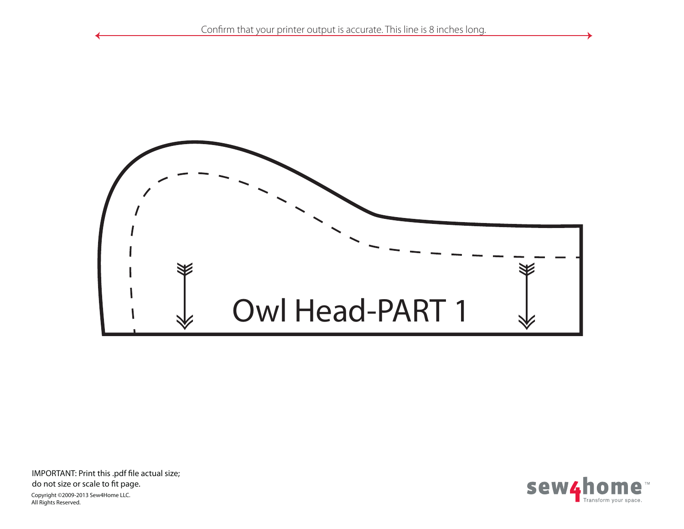